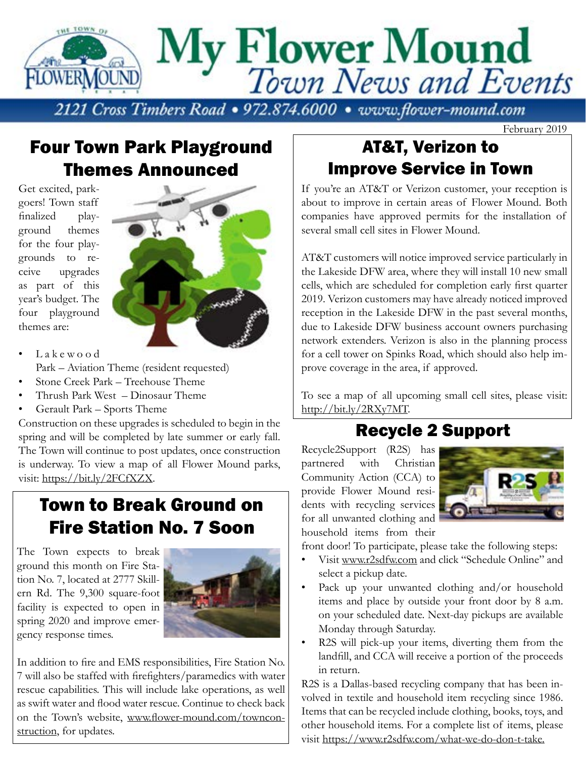

Four Town Park Playground Themes Announced

Get excited, parkgoers! Town staff finalized playground themes for the four playgrounds to receive upgrades as part of this year's budget. The four playground themes are:



- L a k e w o o d Park – Aviation Theme (resident requested)
- Stone Creek Park Treehouse Theme
- Thrush Park West Dinosaur Theme
- Gerault Park Sports Theme

Construction on these upgrades is scheduled to begin in the spring and will be completed by late summer or early fall. The Town will continue to post updates, once construction is underway. To view a map of all Flower Mound parks, visit: https://bit.ly/2FCfXZX.

#### Town to Break Ground on Fire Station No. 7 Soon

The Town expects to break ground this month on Fire Station No. 7, located at 2777 Skillern Rd. The 9,300 square-foot facility is expected to open in spring 2020 and improve emergency response times.



In addition to fire and EMS responsibilities, Fire Station No. 7 will also be staffed with firefighters/paramedics with water rescue capabilities. This will include lake operations, as well as swift water and flood water rescue. Continue to check back on the Town's website, www.flower-mound.com/townconstruction, for updates.

## AT&T, Verizon to Improve Service in Town

If you're an AT&T or Verizon customer, your reception is about to improve in certain areas of Flower Mound. Both companies have approved permits for the installation of several small cell sites in Flower Mound.

AT&T customers will notice improved service particularly in the Lakeside DFW area, where they will install 10 new small cells, which are scheduled for completion early first quarter 2019. Verizon customers may have already noticed improved reception in the Lakeside DFW in the past several months, due to Lakeside DFW business account owners purchasing network extenders. Verizon is also in the planning process for a cell tower on Spinks Road, which should also help improve coverage in the area, if approved.

To see a map of all upcoming small cell sites, please visit: http://bit.ly/2RXy7MT.

#### Recycle 2 Support

Recycle2Support (R2S) has partnered with Christian Community Action (CCA) to provide Flower Mound residents with recycling services for all unwanted clothing and household items from their



February 2019

front door! To participate, please take the following steps:

- Visit www.r2sdfw.com and click "Schedule Online" and select a pickup date.
- Pack up your unwanted clothing and/or household items and place by outside your front door by 8 a.m. on your scheduled date. Next-day pickups are available Monday through Saturday.
- R2S will pick-up your items, diverting them from the landfill, and CCA will receive a portion of the proceeds in return.

R2S is a Dallas-based recycling company that has been involved in textile and household item recycling since 1986. Items that can be recycled include clothing, books, toys, and other household items. For a complete list of items, please visit https://www.r2sdfw.com/what-we-do-don-t-take.